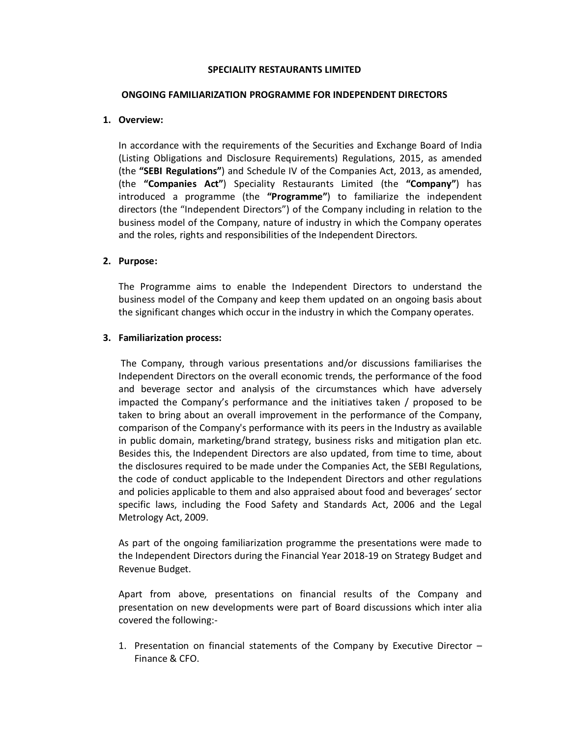### SPECIALITY RESTAURANTS LIMITED

### ONGOING FAMILIARIZATION PROGRAMME FOR INDEPENDENT DIRECTORS

# 1. Overview:

In accordance with the requirements of the Securities and Exchange Board of India (Listing Obligations and Disclosure Requirements) Regulations, 2015, as amended (the "SEBI Regulations") and Schedule IV of the Companies Act, 2013, as amended, (the "Companies Act") Speciality Restaurants Limited (the "Company") has introduced a programme (the "Programme") to familiarize the independent directors (the "Independent Directors") of the Company including in relation to the business model of the Company, nature of industry in which the Company operates and the roles, rights and responsibilities of the Independent Directors.

# 2. Purpose:

The Programme aims to enable the Independent Directors to understand the business model of the Company and keep them updated on an ongoing basis about the significant changes which occur in the industry in which the Company operates.

# 3. Familiarization process:

 The Company, through various presentations and/or discussions familiarises the Independent Directors on the overall economic trends, the performance of the food and beverage sector and analysis of the circumstances which have adversely impacted the Company's performance and the initiatives taken / proposed to be taken to bring about an overall improvement in the performance of the Company, comparison of the Company's performance with its peers in the Industry as available in public domain, marketing/brand strategy, business risks and mitigation plan etc. Besides this, the Independent Directors are also updated, from time to time, about the disclosures required to be made under the Companies Act, the SEBI Regulations, the code of conduct applicable to the Independent Directors and other regulations and policies applicable to them and also appraised about food and beverages' sector specific laws, including the Food Safety and Standards Act, 2006 and the Legal Metrology Act, 2009.

As part of the ongoing familiarization programme the presentations were made to the Independent Directors during the Financial Year 2018-19 on Strategy Budget and Revenue Budget.

Apart from above, presentations on financial results of the Company and presentation on new developments were part of Board discussions which inter alia covered the following:-

1. Presentation on financial statements of the Company by Executive Director – Finance & CFO.